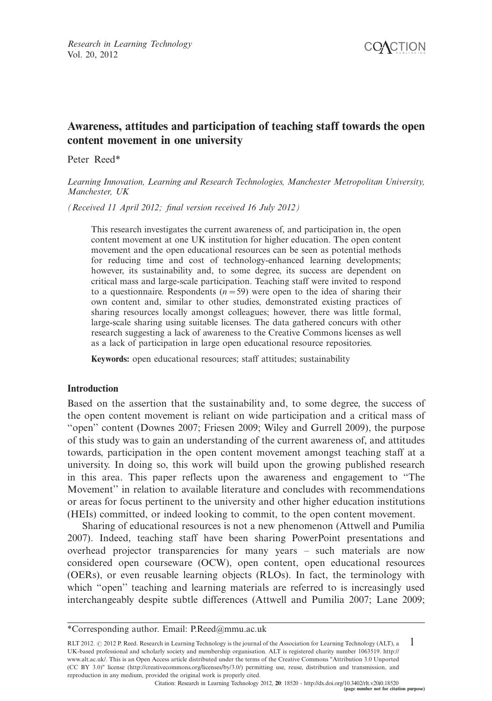**COACTION** 

# Awareness, attitudes and participation of teaching staff towards the open content movement in one university

### Peter Reed\*

Learning Innovation, Learning and Research Technologies, Manchester Metropolitan University, Manchester, UK

(Received 11 April 2012; final version received 16 July 2012)

This research investigates the current awareness of, and participation in, the open content movement at one UK institution for higher education. The open content movement and the open educational resources can be seen as potential methods for reducing time and cost of technology-enhanced learning developments; however, its sustainability and, to some degree, its success are dependent on critical mass and large-scale participation. Teaching staff were invited to respond to a questionnaire. Respondents  $(n=59)$  were open to the idea of sharing their own content and, similar to other studies, demonstrated existing practices of sharing resources locally amongst colleagues; however, there was little formal, large-scale sharing using suitable licenses. The data gathered concurs with other research suggesting a lack of awareness to the Creative Commons licenses as well as a lack of participation in large open educational resource repositories.

Keywords: open educational resources; staff attitudes; sustainability

#### **Introduction**

Based on the assertion that the sustainability and, to some degree, the success of the open content movement is reliant on wide participation and a critical mass of "open" content (Downes 2007; Friesen 2009; Wiley and Gurrell 2009), the purpose of this study was to gain an understanding of the current awareness of, and attitudes towards, participation in the open content movement amongst teaching staff at a university. In doing so, this work will build upon the growing published research in this area. This paper reflects upon the awareness and engagement to ''The Movement'' in relation to available literature and concludes with recommendations or areas for focus pertinent to the university and other higher education institutions (HEIs) committed, or indeed looking to commit, to the open content movement.

Sharing of educational resources is not a new phenomenon (Attwell and Pumilia 2007). Indeed, teaching staff have been sharing PowerPoint presentations and overhead projector transparencies for many years - such materials are now considered open courseware (OCW), open content, open educational resources (OERs), or even reusable learning objects (RLOs). In fact, the terminology with which "open" teaching and learning materials are referred to is increasingly used interchangeably despite subtle differences (Attwell and Pumilia 2007; Lane 2009;

<sup>\*</sup>Corresponding author. Email: P.Reed@mmu.ac.uk

RLT 2012. © 2012 P. Reed. Research in Learning Technology is the journal of the Association for Learning Technology (ALT), a UK-based professional and scholarly society and membership organisation. ALT is registered charity number 1063519. http:// www.alt.ac.uk/. This is an Open Access article distributed under the terms of the Creative Commons "Attribution 3.0 Unported (CC BY 3.0)" license (http://creativecommons.org/licenses/by/3.0/) permitting use, reuse, distribution and transmission, and reproduction in any medium, provided the original work is properly cited. 1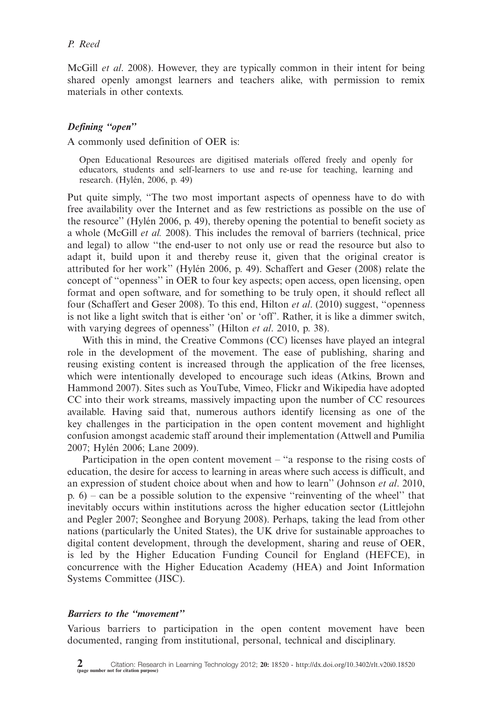McGill *et al.* 2008). However, they are typically common in their intent for being shared openly amongst learners and teachers alike, with permission to remix materials in other contexts.

### Defining ''open''

A commonly used definition of OER is:

Open Educational Resources are digitised materials offered freely and openly for educators, students and self-learners to use and re-use for teaching, learning and research. (Hylén, 2006, p. 49)

Put quite simply, ''The two most important aspects of openness have to do with free availability over the Internet and as few restrictions as possible on the use of the resource" (Hylén 2006, p. 49), thereby opening the potential to benefit society as a whole (McGill et al. 2008). This includes the removal of barriers (technical, price and legal) to allow ''the end-user to not only use or read the resource but also to adapt it, build upon it and thereby reuse it, given that the original creator is attributed for her work" (Hylén 2006, p. 49). Schaffert and Geser (2008) relate the concept of ''openness'' in OER to four key aspects; open access, open licensing, open format and open software, and for something to be truly open, it should reflect all four (Schaffert and Geser 2008). To this end, Hilton et al. (2010) suggest, "openness is not like a light switch that is either 'on' or 'off'. Rather, it is like a dimmer switch, with varying degrees of openness" (Hilton *et al.* 2010, p. 38).

With this in mind, the Creative Commons (CC) licenses have played an integral role in the development of the movement. The ease of publishing, sharing and reusing existing content is increased through the application of the free licenses, which were intentionally developed to encourage such ideas (Atkins, Brown and Hammond 2007). Sites such as YouTube, Vimeo, Flickr and Wikipedia have adopted CC into their work streams, massively impacting upon the number of CC resources available. Having said that, numerous authors identify licensing as one of the key challenges in the participation in the open content movement and highlight confusion amongst academic staff around their implementation (Attwell and Pumilia 2007; Hylén 2006; Lane 2009).

Participation in the open content movement  $-$  "a response to the rising costs of education, the desire for access to learning in areas where such access is difficult, and an expression of student choice about when and how to learn" (Johnson et al. 2010, p.  $6$ ) – can be a possible solution to the expensive "reinventing of the wheel" that inevitably occurs within institutions across the higher education sector (Littlejohn and Pegler 2007; Seonghee and Boryung 2008). Perhaps, taking the lead from other nations (particularly the United States), the UK drive for sustainable approaches to digital content development, through the development, sharing and reuse of OER, is led by the Higher Education Funding Council for England (HEFCE), in concurrence with the Higher Education Academy (HEA) and Joint Information Systems Committee (JISC).

### Barriers to the ''movement''

Various barriers to participation in the open content movement have been documented, ranging from institutional, personal, technical and disciplinary.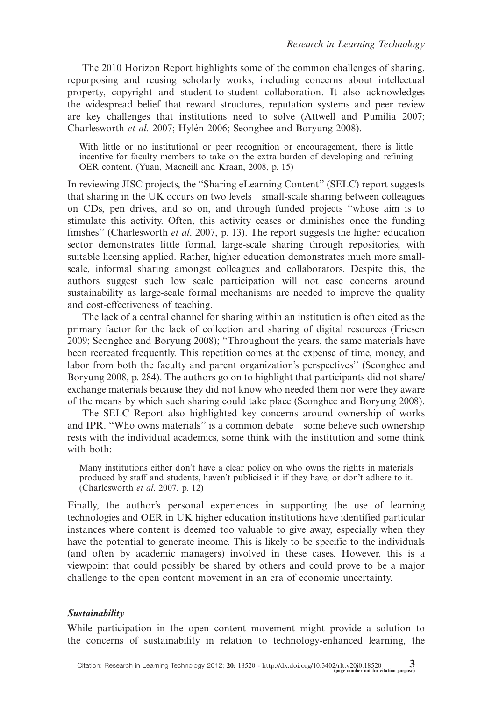The 2010 Horizon Report highlights some of the common challenges of sharing, repurposing and reusing scholarly works, including concerns about intellectual property, copyright and student-to-student collaboration. It also acknowledges the widespread belief that reward structures, reputation systems and peer review are key challenges that institutions need to solve (Attwell and Pumilia 2007; Charlesworth et al. 2007; Hylén 2006; Seonghee and Boryung 2008).

With little or no institutional or peer recognition or encouragement, there is little incentive for faculty members to take on the extra burden of developing and refining OER content. (Yuan, Macneill and Kraan, 2008, p. 15)

In reviewing JISC projects, the ''Sharing eLearning Content'' (SELC) report suggests that sharing in the UK occurs on two levels  $-$  small-scale sharing between colleagues on CDs, pen drives, and so on, and through funded projects ''whose aim is to stimulate this activity. Often, this activity ceases or diminishes once the funding finishes'' (Charlesworth *et al.* 2007, p. 13). The report suggests the higher education sector demonstrates little formal, large-scale sharing through repositories, with suitable licensing applied. Rather, higher education demonstrates much more smallscale, informal sharing amongst colleagues and collaborators. Despite this, the authors suggest such low scale participation will not ease concerns around sustainability as large-scale formal mechanisms are needed to improve the quality and cost-effectiveness of teaching.

The lack of a central channel for sharing within an institution is often cited as the primary factor for the lack of collection and sharing of digital resources (Friesen 2009; Seonghee and Boryung 2008); ''Throughout the years, the same materials have been recreated frequently. This repetition comes at the expense of time, money, and labor from both the faculty and parent organization's perspectives'' (Seonghee and Boryung 2008, p. 284). The authors go on to highlight that participants did not share/ exchange materials because they did not know who needed them nor were they aware of the means by which such sharing could take place (Seonghee and Boryung 2008).

The SELC Report also highlighted key concerns around ownership of works and IPR. "Who owns materials" is a common debate – some believe such ownership rests with the individual academics, some think with the institution and some think with both:

Many institutions either don't have a clear policy on who owns the rights in materials produced by staff and students, haven't publicised it if they have, or don't adhere to it. (Charlesworth et al. 2007, p. 12)

Finally, the author's personal experiences in supporting the use of learning technologies and OER in UK higher education institutions have identified particular instances where content is deemed too valuable to give away, especially when they have the potential to generate income. This is likely to be specific to the individuals (and often by academic managers) involved in these cases. However, this is a viewpoint that could possibly be shared by others and could prove to be a major challenge to the open content movement in an era of economic uncertainty.

#### Sustainability

While participation in the open content movement might provide a solution to the concerns of sustainability in relation to technology-enhanced learning, the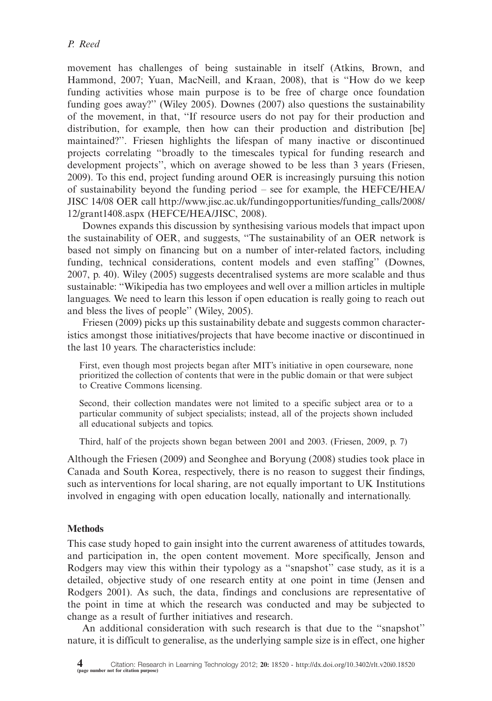movement has challenges of being sustainable in itself (Atkins, Brown, and Hammond, 2007; Yuan, MacNeill, and Kraan, 2008), that is ''How do we keep funding activities whose main purpose is to be free of charge once foundation funding goes away?'' (Wiley 2005). Downes (2007) also questions the sustainability of the movement, in that, ''If resource users do not pay for their production and distribution, for example, then how can their production and distribution [be] maintained?''. Friesen highlights the lifespan of many inactive or discontinued projects correlating ''broadly to the timescales typical for funding research and development projects'', which on average showed to be less than 3 years (Friesen, 2009). To this end, project funding around OER is increasingly pursuing this notion of sustainability beyond the funding period  $-$  see for example, the HEFCE/HEA/ JISC 14/08 OER call [http://www.jisc.ac.uk/fundingopportunities/funding\\_calls/2008/](http://www.jisc.ac.uk/fundingopportunities/funding_calls/2008/12/grant1408.aspx) [12/grant1408.aspx](http://www.jisc.ac.uk/fundingopportunities/funding_calls/2008/12/grant1408.aspx) (HEFCE/HEA/JISC, 2008).

Downes expands this discussion by synthesising various models that impact upon the sustainability of OER, and suggests, ''The sustainability of an OER network is based not simply on financing but on a number of inter-related factors, including funding, technical considerations, content models and even staffing'' (Downes, 2007, p. 40). Wiley (2005) suggests decentralised systems are more scalable and thus sustainable: ''Wikipedia has two employees and well over a million articles in multiple languages. We need to learn this lesson if open education is really going to reach out and bless the lives of people'' (Wiley, 2005).

Friesen (2009) picks up this sustainability debate and suggests common characteristics amongst those initiatives/projects that have become inactive or discontinued in the last 10 years. The characteristics include:

First, even though most projects began after MIT's initiative in open courseware, none prioritized the collection of contents that were in the public domain or that were subject to Creative Commons licensing.

Second, their collection mandates were not limited to a specific subject area or to a particular community of subject specialists; instead, all of the projects shown included all educational subjects and topics.

Third, half of the projects shown began between 2001 and 2003. (Friesen, 2009, p. 7)

Although the Friesen (2009) and Seonghee and Boryung (2008) studies took place in Canada and South Korea, respectively, there is no reason to suggest their findings, such as interventions for local sharing, are not equally important to UK Institutions involved in engaging with open education locally, nationally and internationally.

## **Methods**

This case study hoped to gain insight into the current awareness of attitudes towards, and participation in, the open content movement. More specifically, Jenson and Rodgers may view this within their typology as a ''snapshot'' case study, as it is a detailed, objective study of one research entity at one point in time (Jensen and Rodgers 2001). As such, the data, findings and conclusions are representative of the point in time at which the research was conducted and may be subjected to change as a result of further initiatives and research.

An additional consideration with such research is that due to the ''snapshot'' nature, it is difficult to generalise, as the underlying sample size is in effect, one higher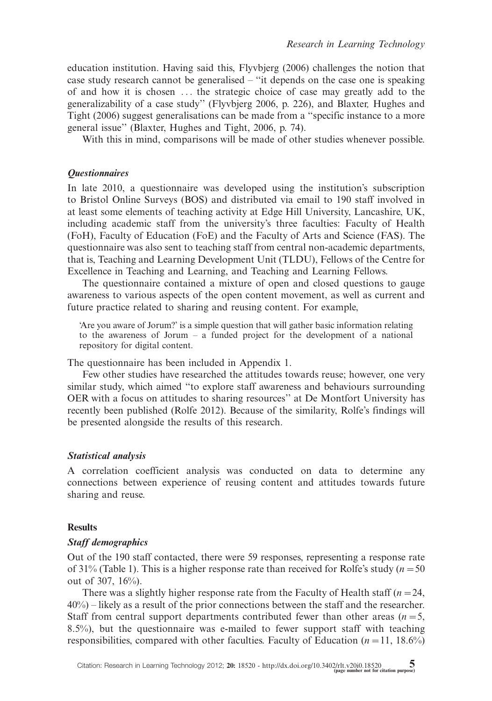education institution. Having said this, Flyvbjerg (2006) challenges the notion that case study research cannot be generalised – "it depends on the case one is speaking of and how it is chosen ... the strategic choice of case may greatly add to the generalizability of a case study'' (Flyvbjerg 2006, p. 226), and Blaxter, Hughes and Tight (2006) suggest generalisations can be made from a ''specific instance to a more general issue'' (Blaxter, Hughes and Tight, 2006, p. 74).

With this in mind, comparisons will be made of other studies whenever possible.

### **Ouestionnaires**

In late 2010, a questionnaire was developed using the institution's subscription to Bristol Online Surveys (BOS) and distributed via email to 190 staff involved in at least some elements of teaching activity at Edge Hill University, Lancashire, UK, including academic staff from the university's three faculties: Faculty of Health (FoH), Faculty of Education (FoE) and the Faculty of Arts and Science (FAS). The questionnaire was also sent to teaching staff from central non-academic departments, that is, Teaching and Learning Development Unit (TLDU), Fellows of the Centre for Excellence in Teaching and Learning, and Teaching and Learning Fellows.

The questionnaire contained a mixture of open and closed questions to gauge awareness to various aspects of the open content movement, as well as current and future practice related to sharing and reusing content. For example,

'Are you aware of Jorum?' is a simple question that will gather basic information relating to the awareness of Jorum  $-$  a funded project for the development of a national repository for digital content.

The questionnaire has been included in Appendix 1.

Few other studies have researched the attitudes towards reuse; however, one very similar study, which aimed ''to explore staff awareness and behaviours surrounding OER with a focus on attitudes to sharing resources'' at De Montfort University has recently been published (Rolfe 2012). Because of the similarity, Rolfe's findings will be presented alongside the results of this research.

#### Statistical analysis

A correlation coefficient analysis was conducted on data to determine any connections between experience of reusing content and attitudes towards future sharing and reuse.

#### **Results**

#### Staff demographics

Out of the 190 staff contacted, there were 59 responses, representing a response rate of 31% (Table 1). This is a higher response rate than received for Rolfe's study ( $n=50$ out of 307, 16%).

There was a slightly higher response rate from the Faculty of Health staff ( $n = 24$ ,  $40\%$ ) – likely as a result of the prior connections between the staff and the researcher. Staff from central support departments contributed fewer than other areas  $(n=5,$ 8.5%), but the questionnaire was e-mailed to fewer support staff with teaching responsibilities, compared with other faculties. Faculty of Education  $(n = 11, 18.6\%)$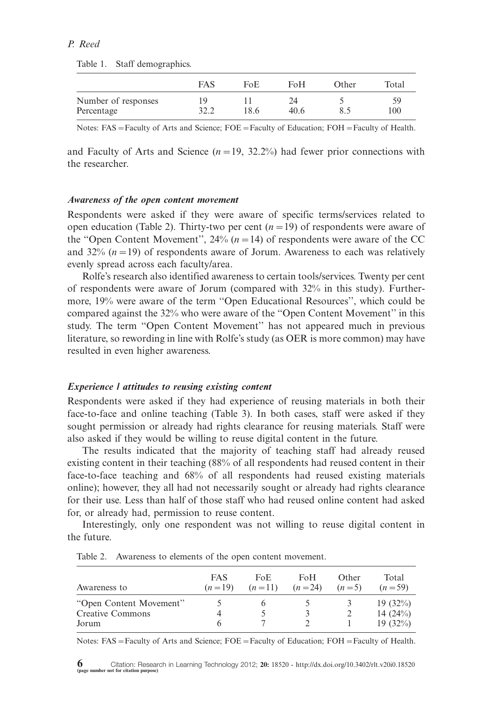Table 1. Staff demographics.

|                                   | <b>FAS</b> | FoE  | FoH        | Other | Total     |
|-----------------------------------|------------|------|------------|-------|-----------|
| Number of responses<br>Percentage | 19<br>າາ າ | 18.6 | 24<br>40.6 |       | 59<br>100 |

Notes: FAS = Faculty of Arts and Science; FOE = Faculty of Education; FOH = Faculty of Health.

and Faculty of Arts and Science  $(n=19, 32.2%)$  had fewer prior connections with the researcher.

#### Awareness of the open content movement

Respondents were asked if they were aware of specific terms/services related to open education (Table 2). Thirty-two per cent  $(n = 19)$  of respondents were aware of the "Open Content Movement",  $24\%$   $(n=14)$  of respondents were aware of the CC and 32%  $(n = 19)$  of respondents aware of Jorum. Awareness to each was relatively evenly spread across each faculty/area.

Rolfe's research also identified awareness to certain tools/services. Twenty per cent of respondents were aware of Jorum (compared with 32% in this study). Furthermore, 19% were aware of the term ''Open Educational Resources'', which could be compared against the 32% who were aware of the ''Open Content Movement'' in this study. The term ''Open Content Movement'' has not appeared much in previous literature, so rewording in line with Rolfe's study (as OER is more common) may have resulted in even higher awareness.

#### Experience / attitudes to reusing existing content

Respondents were asked if they had experience of reusing materials in both their face-to-face and online teaching (Table 3). In both cases, staff were asked if they sought permission or already had rights clearance for reusing materials. Staff were also asked if they would be willing to reuse digital content in the future.

The results indicated that the majority of teaching staff had already reused existing content in their teaching (88% of all respondents had reused content in their face-to-face teaching and 68% of all respondents had reused existing materials online); however, they all had not necessarily sought or already had rights clearance for their use. Less than half of those staff who had reused online content had asked for, or already had, permission to reuse content.

Interestingly, only one respondent was not willing to reuse digital content in the future.

| Awareness to            | FAS<br>$(n=19)$ | Fo <sub>E</sub><br>$(n=11)$ | FoH<br>$(n=24)$ | Other<br>$(n=5)$ | Total<br>$(n=59)$ |
|-------------------------|-----------------|-----------------------------|-----------------|------------------|-------------------|
| "Open Content Movement" |                 |                             |                 |                  | $19(32\%)$        |
| <b>Creative Commons</b> |                 |                             |                 |                  | 14 $(24%)$        |
| Jorum                   |                 |                             |                 |                  | $19(32\%)$        |

Table 2. Awareness to elements of the open content movement.

Notes: FAS = Faculty of Arts and Science; FOE = Faculty of Education; FOH = Faculty of Health.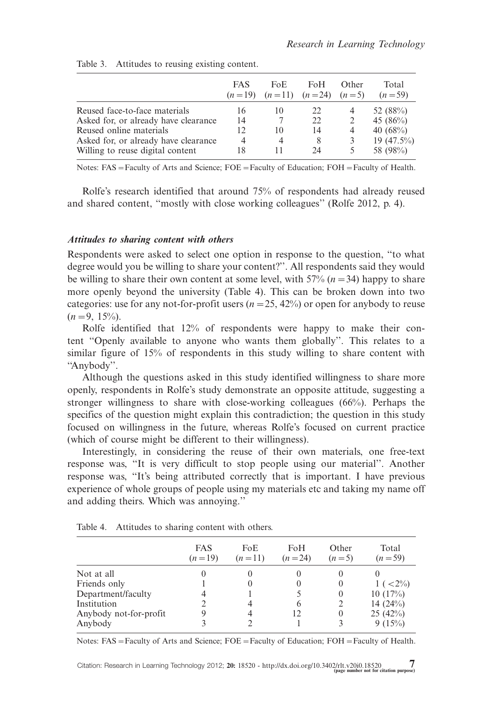|                                      | FAS<br>$(n=19)$ | FoE.<br>$(n=11)$ $(n=24)$ | FoH | Other<br>$(n=5)$ | Total<br>$(n=59)$ |
|--------------------------------------|-----------------|---------------------------|-----|------------------|-------------------|
| Reused face-to-face materials        | 16              | 10                        | 22  | 4                | 52 (88%)          |
| Asked for, or already have clearance | 14              |                           | 22  |                  | 45 $(86%)$        |
| Reused online materials              | 12              | 10                        | 14  | 4                | 40 $(68%)$        |
| Asked for, or already have clearance | $\overline{4}$  | 4                         | 8   | 3                | $19(47.5\%)$      |
| Willing to reuse digital content     | 18              | 11                        | 24  |                  | 58 (98%)          |

Table 3. Attitudes to reusing existing content.

Notes: FAS = Faculty of Arts and Science; FOE = Faculty of Education; FOH = Faculty of Health.

Rolfe's research identified that around 75% of respondents had already reused and shared content, ''mostly with close working colleagues'' (Rolfe 2012, p. 4).

#### Attitudes to sharing content with others

Respondents were asked to select one option in response to the question, ''to what degree would you be willing to share your content?''. All respondents said they would be willing to share their own content at some level, with  $57\%$  ( $n = 34$ ) happy to share more openly beyond the university (Table 4). This can be broken down into two categories: use for any not-for-profit users ( $n = 25, 42\%$ ) or open for anybody to reuse  $(n=9, 15\%)$ .

Rolfe identified that 12% of respondents were happy to make their content ''Openly available to anyone who wants them globally''. This relates to a similar figure of 15% of respondents in this study willing to share content with "Anybody".

Although the questions asked in this study identified willingness to share more openly, respondents in Rolfe's study demonstrate an opposite attitude, suggesting a stronger willingness to share with close-working colleagues (66%). Perhaps the specifics of the question might explain this contradiction; the question in this study focused on willingness in the future, whereas Rolfe's focused on current practice (which of course might be different to their willingness).

Interestingly, in considering the reuse of their own materials, one free-text response was, ''It is very difficult to stop people using our material''. Another response was, ''It's being attributed correctly that is important. I have previous experience of whole groups of people using my materials etc and taking my name off and adding theirs. Which was annoying.''

|                        | <b>FAS</b><br>$(n=19)$ | FoE<br>$(n=11)$ | FoH<br>$(n=24)$ | Other<br>$(n=5)$ | Total<br>$(n=59)$ |
|------------------------|------------------------|-----------------|-----------------|------------------|-------------------|
| Not at all             | O                      |                 |                 |                  |                   |
| Friends only           |                        | O               |                 | $\theta$         | $1 (-2\%)$        |
| Department/faculty     |                        |                 |                 | $\theta$         | 10(17%)           |
| Institution            |                        |                 | h               |                  | 14 $(24%)$        |
| Anybody not-for-profit | q                      |                 | 12              | 0                | 25(42%)           |
| Anybody                |                        |                 |                 |                  | 9(15%)            |

Table 4. Attitudes to sharing content with others.

Notes: FAS = Faculty of Arts and Science; FOE = Faculty of Education; FOH = Faculty of Health.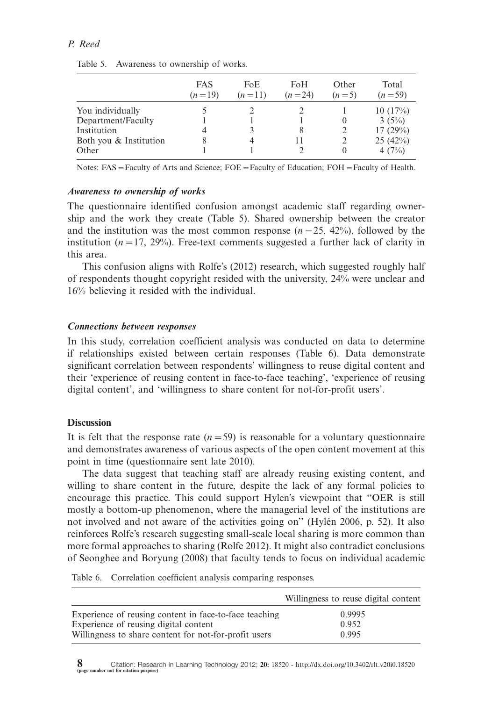|                        | <b>FAS</b><br>$(n=19)$ | FoE<br>$(n=11)$ | FoH<br>$(n=24)$ | Other<br>$(n=5)$ | Total<br>$(n=59)$ |
|------------------------|------------------------|-----------------|-----------------|------------------|-------------------|
| You individually       |                        |                 |                 |                  | 10(17%)           |
| Department/Faculty     |                        |                 |                 |                  | 3(5%)             |
| Institution            | 4                      |                 |                 |                  | 17(29%)           |
| Both you & Institution | 8                      | 4               |                 |                  | 25(42%)           |
| Other                  |                        |                 |                 |                  | 4 $(7%)$          |

Table 5. Awareness to ownership of works.

Notes: FAS = Faculty of Arts and Science; FOE = Faculty of Education; FOH = Faculty of Health.

### Awareness to ownership of works

The questionnaire identified confusion amongst academic staff regarding ownership and the work they create (Table 5). Shared ownership between the creator and the institution was the most common response  $(n=25, 42%)$ , followed by the institution ( $n = 17$ , 29%). Free-text comments suggested a further lack of clarity in this area.

This confusion aligns with Rolfe's (2012) research, which suggested roughly half of respondents thought copyright resided with the university, 24% were unclear and 16% believing it resided with the individual.

## Connections between responses

In this study, correlation coefficient analysis was conducted on data to determine if relationships existed between certain responses (Table 6). Data demonstrate significant correlation between respondents' willingness to reuse digital content and their 'experience of reusing content in face-to-face teaching', 'experience of reusing digital content', and 'willingness to share content for not-for-profit users'.

## **Discussion**

It is felt that the response rate  $(n=59)$  is reasonable for a voluntary questionnaire and demonstrates awareness of various aspects of the open content movement at this point in time (questionnaire sent late 2010).

The data suggest that teaching staff are already reusing existing content, and willing to share content in the future, despite the lack of any formal policies to encourage this practice. This could support Hylen's viewpoint that ''OER is still mostly a bottom-up phenomenon, where the managerial level of the institutions are not involved and not aware of the activities going on" (Hylén 2006, p. 52). It also reinforces Rolfe's research suggesting small-scale local sharing is more common than more formal approaches to sharing (Rolfe 2012). It might also contradict conclusions of Seonghee and Boryung (2008) that faculty tends to focus on individual academic

| Table 6. | Correlation coefficient analysis comparing responses. |  |  |
|----------|-------------------------------------------------------|--|--|
|          |                                                       |  |  |

|                                                        | Willingness to reuse digital content |
|--------------------------------------------------------|--------------------------------------|
| Experience of reusing content in face-to-face teaching | 0.9995                               |
| Experience of reusing digital content                  | 0.952                                |
| Willingness to share content for not-for-profit users  | 0.995                                |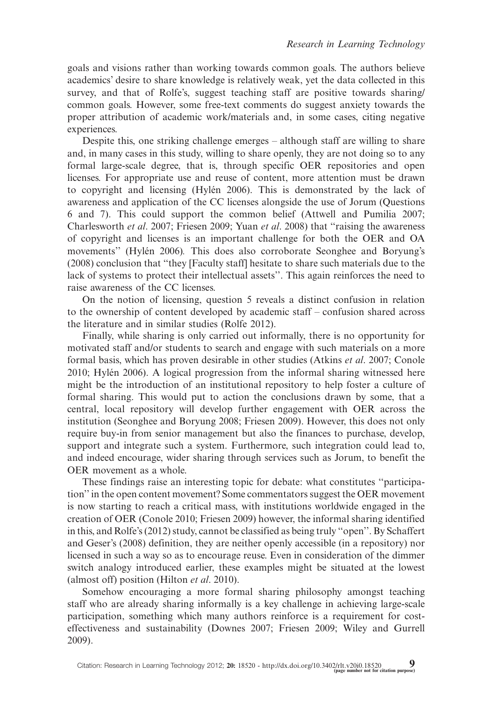goals and visions rather than working towards common goals. The authors believe academics' desire to share knowledge is relatively weak, yet the data collected in this survey, and that of Rolfe's, suggest teaching staff are positive towards sharing/ common goals. However, some free-text comments do suggest anxiety towards the proper attribution of academic work/materials and, in some cases, citing negative experiences.

Despite this, one striking challenge emerges  $-$  although staff are willing to share and, in many cases in this study, willing to share openly, they are not doing so to any formal large-scale degree, that is, through specific OER repositories and open licenses. For appropriate use and reuse of content, more attention must be drawn to copyright and licensing (Hylén 2006). This is demonstrated by the lack of awareness and application of the CC licenses alongside the use of Jorum (Questions 6 and 7). This could support the common belief (Attwell and Pumilia 2007; Charlesworth et al. 2007; Friesen 2009; Yuan et al. 2008) that ''raising the awareness of copyright and licenses is an important challenge for both the OER and OA movements" (Hylén 2006). This does also corroborate Seonghee and Boryung's (2008) conclusion that ''they [Faculty staff] hesitate to share such materials due to the lack of systems to protect their intellectual assets''. This again reinforces the need to raise awareness of the CC licenses.

On the notion of licensing, question 5 reveals a distinct confusion in relation to the ownership of content developed by academic staff – confusion shared across the literature and in similar studies (Rolfe 2012).

Finally, while sharing is only carried out informally, there is no opportunity for motivated staff and/or students to search and engage with such materials on a more formal basis, which has proven desirable in other studies (Atkins et al. 2007; Conole  $2010$ ; Hylén  $2006$ ). A logical progression from the informal sharing witnessed here might be the introduction of an institutional repository to help foster a culture of formal sharing. This would put to action the conclusions drawn by some, that a central, local repository will develop further engagement with OER across the institution (Seonghee and Boryung 2008; Friesen 2009). However, this does not only require buy-in from senior management but also the finances to purchase, develop, support and integrate such a system. Furthermore, such integration could lead to, and indeed encourage, wider sharing through services such as Jorum, to benefit the OER movement as a whole.

These findings raise an interesting topic for debate: what constitutes ''participation'' in the open content movement? Some commentators suggest the OER movement is now starting to reach a critical mass, with institutions worldwide engaged in the creation of OER (Conole 2010; Friesen 2009) however, the informal sharing identified in this, and Rolfe's (2012) study, cannot be classified as being truly ''open''. By Schaffert and Geser's (2008) definition, they are neither openly accessible (in a repository) nor licensed in such a way so as to encourage reuse. Even in consideration of the dimmer switch analogy introduced earlier, these examples might be situated at the lowest (almost off) position (Hilton *et al.* 2010).

Somehow encouraging a more formal sharing philosophy amongst teaching staff who are already sharing informally is a key challenge in achieving large-scale participation, something which many authors reinforce is a requirement for costeffectiveness and sustainability (Downes 2007; Friesen 2009; Wiley and Gurrell 2009).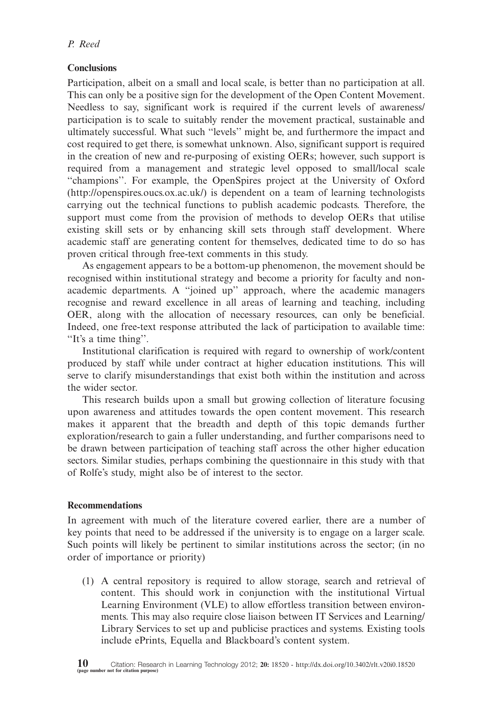## **Conclusions**

Participation, albeit on a small and local scale, is better than no participation at all. This can only be a positive sign for the development of the Open Content Movement. Needless to say, significant work is required if the current levels of awareness/ participation is to scale to suitably render the movement practical, sustainable and ultimately successful. What such ''levels'' might be, and furthermore the impact and cost required to get there, is somewhat unknown. Also, significant support is required in the creation of new and re-purposing of existing OERs; however, such support is required from a management and strategic level opposed to small/local scale ''champions''. For example, the OpenSpires project at the University of Oxford (<http://openspires.oucs.ox.ac.uk/>) is dependent on a team of learning technologists carrying out the technical functions to publish academic podcasts. Therefore, the support must come from the provision of methods to develop OERs that utilise existing skill sets or by enhancing skill sets through staff development. Where academic staff are generating content for themselves, dedicated time to do so has proven critical through free-text comments in this study.

As engagement appears to be a bottom-up phenomenon, the movement should be recognised within institutional strategy and become a priority for faculty and nonacademic departments. A ''joined up'' approach, where the academic managers recognise and reward excellence in all areas of learning and teaching, including OER, along with the allocation of necessary resources, can only be beneficial. Indeed, one free-text response attributed the lack of participation to available time: ''It's a time thing''.

Institutional clarification is required with regard to ownership of work/content produced by staff while under contract at higher education institutions. This will serve to clarify misunderstandings that exist both within the institution and across the wider sector.

This research builds upon a small but growing collection of literature focusing upon awareness and attitudes towards the open content movement. This research makes it apparent that the breadth and depth of this topic demands further exploration/research to gain a fuller understanding, and further comparisons need to be drawn between participation of teaching staff across the other higher education sectors. Similar studies, perhaps combining the questionnaire in this study with that of Rolfe's study, might also be of interest to the sector.

## Recommendations

In agreement with much of the literature covered earlier, there are a number of key points that need to be addressed if the university is to engage on a larger scale. Such points will likely be pertinent to similar institutions across the sector; (in no order of importance or priority)

(1) A central repository is required to allow storage, search and retrieval of content. This should work in conjunction with the institutional Virtual Learning Environment (VLE) to allow effortless transition between environments. This may also require close liaison between IT Services and Learning/ Library Services to set up and publicise practices and systems. Existing tools include ePrints, Equella and Blackboard's content system.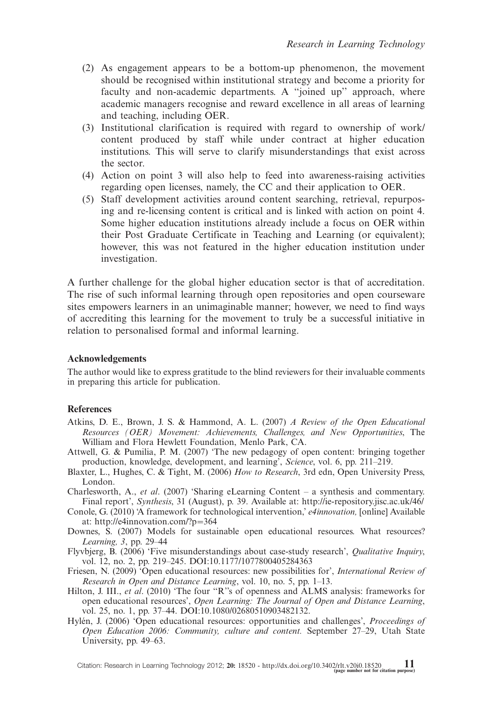- (2) As engagement appears to be a bottom-up phenomenon, the movement should be recognised within institutional strategy and become a priority for faculty and non-academic departments. A "ioined up" approach, where academic managers recognise and reward excellence in all areas of learning and teaching, including OER.
- (3) Institutional clarification is required with regard to ownership of work/ content produced by staff while under contract at higher education institutions. This will serve to clarify misunderstandings that exist across the sector.
- (4) Action on point 3 will also help to feed into awareness-raising activities regarding open licenses, namely, the CC and their application to OER.
- (5) Staff development activities around content searching, retrieval, repurposing and re-licensing content is critical and is linked with action on point 4. Some higher education institutions already include a focus on OER within their Post Graduate Certificate in Teaching and Learning (or equivalent); however, this was not featured in the higher education institution under investigation.

A further challenge for the global higher education sector is that of accreditation. The rise of such informal learning through open repositories and open courseware sites empowers learners in an unimaginable manner; however, we need to find ways of accrediting this learning for the movement to truly be a successful initiative in relation to personalised formal and informal learning.

#### Acknowledgements

The author would like to express gratitude to the blind reviewers for their invaluable comments in preparing this article for publication.

#### References

- Atkins, D. E., Brown, J. S. & Hammond, A. L. (2007) A Review of the Open Educational Resources (OER) Movement: Achievements, Challenges, and New Opportunities, The William and Flora Hewlett Foundation, Menlo Park, CA.
- Attwell, G. & Pumilia, P. M. (2007) 'The new pedagogy of open content: bringing together production, knowledge, development, and learning', Science, vol. 6, pp. 211-219.
- Blaxter, L., Hughes, C. & Tight, M. (2006) How to Research, 3rd edn, Open University Press, London.
- Charlesworth, A., et al. (2007) 'Sharing eLearning Content  $-$  a synthesis and commentary. Final report', Synthesis, 31 (August), p. 39. Available at:<http://ie-repository.jisc.ac.uk/46/>
- Conole, G. (2010) 'A framework for technological intervention,' *e4innovation*, [online] Available at: [http://e4innovation.com/?p](http://e4innovation.com/?p=364)[-](http://e4innovation.com/?p=364)[364](http://e4innovation.com/?p=364)
- Downes, S. (2007) Models for sustainable open educational resources. What resources? Learning, 3, pp. 29-44
- Flyvbjerg, B. (2006) 'Five misunderstandings about case-study research', Qualitative Inquiry, vol. 12, no. 2, pp. 219-245. DOI:10.1177/1077800405284363
- Friesen, N. (2009) 'Open educational resources: new possibilities for', *International Review of* Research in Open and Distance Learning, vol. 10, no. 5, pp. 1-13.
- Hilton, J. III., *et al.* (2010) 'The four "R"s of openness and ALMS analysis: frameworks for open educational resources', Open Learning: The Journal of Open and Distance Learning, vol. 25, no. 1, pp. 37-44. DOI:10.1080/02680510903482132.
- Hylén, J. (2006) 'Open educational resources: opportunities and challenges', *Proceedings of* Open Education 2006: Community, culture and content. September 27–29, Utah State University, pp. 49–63.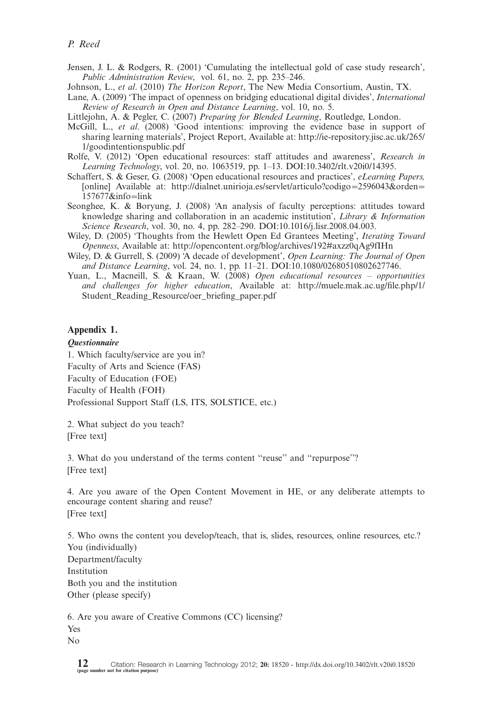Jensen, J. L. & Rodgers, R. (2001) 'Cumulating the intellectual gold of case study research', Public Administration Review, vol. 61, no. 2, pp. 235–246.

Johnson, L., et al. (2010) The Horizon Report, The New Media Consortium, Austin, TX.

Lane, A. (2009) 'The impact of openness on bridging educational digital divides', International Review of Research in Open and Distance Learning, vol. 10, no. 5.

Littlejohn, A. & Pegler, C. (2007) Preparing for Blended Learning, Routledge, London.

- McGill, L., et al. (2008) 'Good intentions: improving the evidence base in support of sharing learning materials', Project Report, Available at: [http://ie-repository.jisc.ac.uk/265/](http://ie-repository.jisc.ac.uk/265/1/goodintentionspublic.pdf) [1/goodintentionspublic.pdf](http://ie-repository.jisc.ac.uk/265/1/goodintentionspublic.pdf)
- Rolfe, V. (2012) 'Open educational resources: staff attitudes and awareness', Research in Learning Technology, vol. 20, no. 1063519, pp. 1-13. DOI:10.3402/rlt.v20i0/14395.
- Schaffert, S. & Geser, G. (2008) 'Open educational resources and practices', *eLearning Papers*, [online] Available at: [http://dialnet.unirioja.es/servlet/articulo?codigo](http://dialnet.unirioja.es/servlet/articulo?codigo=2596043orden=157677info=link)=[2596043&orden](http://dialnet.unirioja.es/servlet/articulo?codigo=2596043orden=157677info=link)= [157677&info](http://dialnet.unirioja.es/servlet/articulo?codigo=2596043orden=157677info=link)[-](http://dialnet.unirioja.es/servlet/articulo?codigo=2596043orden=157677info=link)[link](http://dialnet.unirioja.es/servlet/articulo?codigo=2596043orden=157677info=link)
- Seonghee, K. & Boryung, J. (2008) 'An analysis of faculty perceptions: attitudes toward knowledge sharing and collaboration in an academic institution', *Library & Information* Science Research, vol. 30, no. 4, pp. 282–290. DOI:10.1016/j.lisr.2008.04.003.
- Wiley, D. (2005) 'Thoughts from the Hewlett Open Ed Grantees Meeting', *Iterating Toward* Openness, Available at:<http://opencontent.org/blog/archives/192#axzz0qAg9fIHn>
- Wiley, D. & Gurrell, S. (2009) A decade of development', Open Learning: The Journal of Open and Distance Learning, vol. 24, no. 1, pp. 11-21. DOI:10.1080/02680510802627746.
- Yuan, L., Macneill, S. & Kraan, W. (2008) Open educational resources opportunities and challenges for higher education, Available at: [http://muele.mak.ac.ug/file.php/1/](http://muele.mak.ac.ug/file.php/1/Student_Reading_Resource/oer_briefing_paper.pdf) [Student\\_Reading\\_Resource/oer\\_briefing\\_paper.pdf](http://muele.mak.ac.ug/file.php/1/Student_Reading_Resource/oer_briefing_paper.pdf)

### Appendix 1.

### Questionnaire

1. Which faculty/service are you in? Faculty of Arts and Science (FAS) Faculty of Education (FOE) Faculty of Health (FOH) Professional Support Staff (LS, ITS, SOLSTICE, etc.)

2. What subject do you teach? [Free text]

3. What do you understand of the terms content ''reuse'' and ''repurpose''? [Free text]

4. Are you aware of the Open Content Movement in HE, or any deliberate attempts to encourage content sharing and reuse? [Free text]

5. Who owns the content you develop/teach, that is, slides, resources, online resources, etc.? You (individually) Department/faculty Institution Both you and the institution Other (please specify)

6. Are you aware of Creative Commons (CC) licensing? Yes No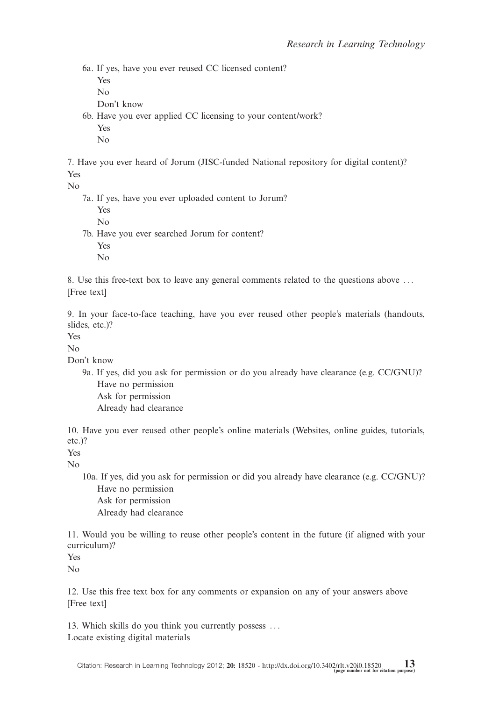6a. If yes, have you ever reused CC licensed content? Yes  $N<sub>0</sub>$ Don't know 6b. Have you ever applied CC licensing to your content/work? Yes No

7. Have you ever heard of Jorum (JISC-funded National repository for digital content)? Yes

No

7a. If yes, have you ever uploaded content to Jorum? Yes No 7b. Have you ever searched Jorum for content? Yes No

8. Use this free-text box to leave any general comments related to the questions above ... [Free text]

9. In your face-to-face teaching, have you ever reused other people's materials (handouts, slides, etc.)?

Yes

 $N<sub>0</sub>$ 

Don't know

9a. If yes, did you ask for permission or do you already have clearance (e.g. CC/GNU)? Have no permission Ask for permission Already had clearance

10. Have you ever reused other people's online materials (Websites, online guides, tutorials, etc.)?

Yes

No

10a. If yes, did you ask for permission or did you already have clearance (e.g. CC/GNU)? Have no permission Ask for permission Already had clearance

11. Would you be willing to reuse other people's content in the future (if aligned with your curriculum)?

Yes

No

12. Use this free text box for any comments or expansion on any of your answers above [Free text]

13. Which skills do you think you currently possess ... Locate existing digital materials